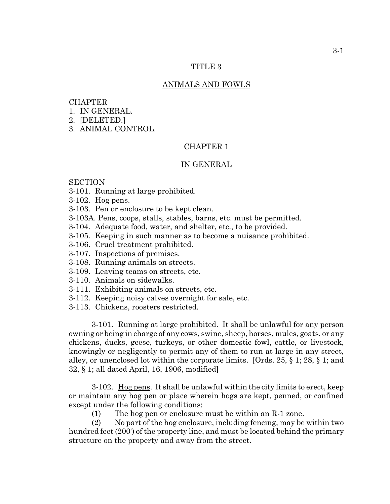### TITLE 3

#### ANIMALS AND FOWLS

### **CHAPTER**

- 1. IN GENERAL.
- 2. [DELETED.]
- 3. ANIMAL CONTROL.

### CHAPTER 1

### IN GENERAL

#### **SECTION**

- 3-101. Running at large prohibited.
- 3-102. Hog pens.
- 3-103. Pen or enclosure to be kept clean.
- 3-103A. Pens, coops, stalls, stables, barns, etc. must be permitted.
- 3-104. Adequate food, water, and shelter, etc., to be provided.
- 3-105. Keeping in such manner as to become a nuisance prohibited.
- 3-106. Cruel treatment prohibited.
- 3-107. Inspections of premises.
- 3-108. Running animals on streets.
- 3-109. Leaving teams on streets, etc.
- 3-110. Animals on sidewalks.
- 3-111. Exhibiting animals on streets, etc.
- 3-112. Keeping noisy calves overnight for sale, etc.
- 3-113. Chickens, roosters restricted.

3-101. Running at large prohibited. It shall be unlawful for any person owning or being in charge of any cows, swine, sheep, horses, mules, goats, or any chickens, ducks, geese, turkeys, or other domestic fowl, cattle, or livestock, knowingly or negligently to permit any of them to run at large in any street, alley, or unenclosed lot within the corporate limits. [Ords.  $25, \S 1$ ;  $28, \S 1$ ; and 32, § 1; all dated April, 16, 1906, modified]

3-102. Hog pens. It shall be unlawful within the city limits to erect, keep or maintain any hog pen or place wherein hogs are kept, penned, or confined except under the following conditions:

(1) The hog pen or enclosure must be within an R-1 zone.

(2) No part of the hog enclosure, including fencing, may be within two hundred feet (200') of the property line, and must be located behind the primary structure on the property and away from the street.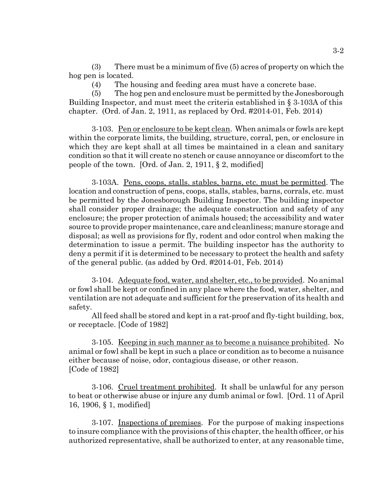(3) There must be a minimum of five (5) acres of property on which the hog pen is located.

(4) The housing and feeding area must have a concrete base.

(5) The hog pen and enclosure must be permitted by the Jonesborough Building Inspector, and must meet the criteria established in § 3-103A of this chapter. (Ord. of Jan. 2, 1911, as replaced by Ord. #2014-01, Feb. 2014)

3-103. Pen or enclosure to be kept clean. When animals or fowls are kept within the corporate limits, the building, structure, corral, pen, or enclosure in which they are kept shall at all times be maintained in a clean and sanitary condition so that it will create no stench or cause annoyance or discomfort to the people of the town. [Ord. of Jan. 2, 1911, § 2, modified]

3-103A. Pens, coops, stalls. stables, barns, etc. must be permitted. The location and construction of pens, coops, stalls, stables, barns, corrals, etc. must be permitted by the Jonesborough Building Inspector. The building inspector shall consider proper drainage; the adequate construction and safety of any enclosure; the proper protection of animals housed; the accessibility and water source to provide proper maintenance, care and cleanliness; manure storage and disposal; as well as provisions for fly, rodent and odor control when making the determination to issue a permit. The building inspector has the authority to deny a permit if it is determined to be necessary to protect the health and safety of the general public. (as added by Ord. #2014-01, Feb. 2014)

3-104. Adequate food, water, and shelter, etc., to be provided. No animal or fowl shall be kept or confined in any place where the food, water, shelter, and ventilation are not adequate and sufficient for the preservation of its health and safety.

All feed shall be stored and kept in a rat-proof and fly-tight building, box, or receptacle. [Code of 1982]

3-105. Keeping in such manner as to become a nuisance prohibited. No animal or fowl shall be kept in such a place or condition as to become a nuisance either because of noise, odor, contagious disease, or other reason. [Code of 1982]

3-106. Cruel treatment prohibited. It shall be unlawful for any person to beat or otherwise abuse or injure any dumb animal or fowl. [Ord. 11 of April 16, 1906, § 1, modified]

3-107. Inspections of premises. For the purpose of making inspections to insure compliance with the provisions of this chapter, the health officer, or his authorized representative, shall be authorized to enter, at any reasonable time,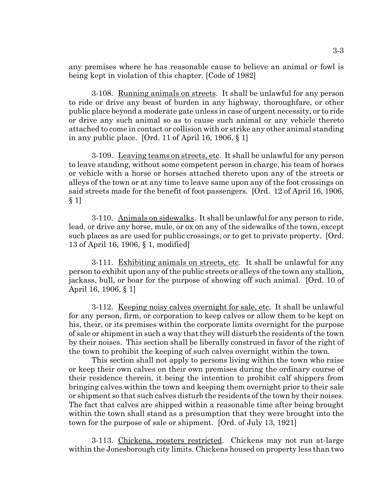any premises where he has reasonable cause to believe an animal or fowl is being kept in violation of this chapter. [Code of 1982]

3-108. Running animals on streets. It shall be unlawful for any person to ride or drive any beast of burden in any highway, thoroughfare, or other public place beyond a moderate gate unless in case of urgent necessity, or to ride or drive any such animal so as to cause such animal or any vehicle thereto attached to come in contact or collision with or strike any other animal standing in any public place. [Ord. 11 of April 16, 1906, § 1]

3-109. Leaving teams on streets, etc. It shall be unlawful for any person to leave standing, without some competent person in charge, his team of horses or vehicle with a horse or horses attached thereto upon any of the streets or alleys of the town or at any time to leave same upon any of the foot crossings on said streets made for the benefit of foot passengers. [Ord. 12 of April 16, 1906, § 1]

3-110. Animals on sidewalks. It shall be unlawful for any person to ride, lead, or drive any horse, mule, or ox on any of the sidewalks of the town, except such places as are used for public crossings, or to get to private property. [Ord. 13 of April 16, 1906, § 1, modified]

3-111. Exhibiting animals on streets, etc. It shall be unlawful for any person to exhibit upon any of the public streets or alleys of the town any stallion, jackass, bull, or boar for the purpose of showing off such animal. [Ord. 10 of April 16, 1906, § 1]

3-112. Keeping noisy calves overnight for sale, etc. It shall be unlawful for any person, firm, or corporation to keep calves or allow them to be kept on his, their, or its premises within the corporate limits overnight for the purpose of sale or shipment in such a way that they will disturb the residents of the town by their noises. This section shall be liberally construed in favor of the right of the town to prohibit the keeping of such calves overnight within the town.

This section shall not apply to persons living within the town who raise or keep their own calves on their own premises during the ordinary course of their residence therein, it being the intention to prohibit calf shippers from bringing calves within the town and keeping them overnight prior to their sale or shipment so that such calves disturb the residents of the town by their noises. The fact that calves are shipped within a reasonable time after being brought within the town shall stand as a presumption that they were brought into the town for the purpose of sale or shipment. [Ord. of July 13, 1921]

3-113. Chickens, roosters restricted. Chickens may not run at-large within the Jonesborough city limits. Chickens housed on property less than two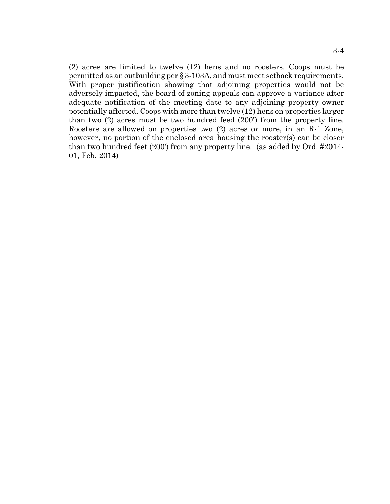(2) acres are limited to twelve (12) hens and no roosters. Coops must be permitted as an outbuilding per § 3-103A, and must meet setback requirements. With proper justification showing that adjoining properties would not be adversely impacted, the board of zoning appeals can approve a variance after adequate notification of the meeting date to any adjoining property owner potentially affected. Coops with more than twelve (12) hens on properties larger than two (2) acres must be two hundred feed (200') from the property line. Roosters are allowed on properties two (2) acres or more, in an R-1 Zone, however, no portion of the enclosed area housing the rooster(s) can be closer than two hundred feet (200') from any property line. (as added by Ord. #2014- 01, Feb. 2014)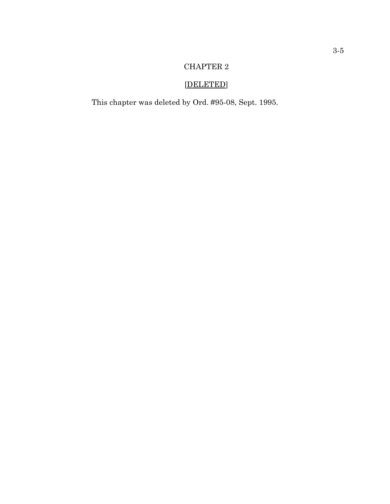# CHAPTER 2

# [DELETED]

This chapter was deleted by Ord. #95-08, Sept. 1995.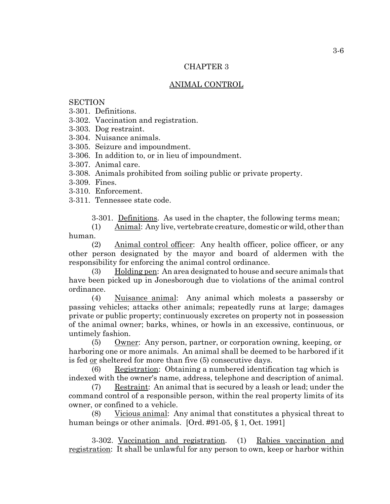### CHAPTER 3

# ANIMAL CONTROL

## **SECTION**

- 3-301. Definitions.
- 3-302. Vaccination and registration.
- 3-303. Dog restraint.
- 3-304. Nuisance animals.
- 3-305. Seizure and impoundment.
- 3-306. In addition to, or in lieu of impoundment.
- 3-307. Animal care.
- 3-308. Animals prohibited from soiling public or private property.
- 3-309. Fines.
- 3-310. Enforcement.
- 3-311. Tennessee state code.

3-301. Definitions. As used in the chapter, the following terms mean;

(1) Animal: Any live, vertebrate creature, domestic or wild, other than human.

(2) Animal control officer: Any health officer, police officer, or any other person designated by the mayor and board of aldermen with the responsibility for enforcing the animal control ordinance.

(3) Holding pen: An area designated to house and secure animals that have been picked up in Jonesborough due to violations of the animal control ordinance.

(4) Nuisance animal: Any animal which molests a passersby or passing vehicles; attacks other animals; repeatedly runs at large; damages private or public property; continuously excretes on property not in possession of the animal owner; barks, whines, or howls in an excessive, continuous, or untimely fashion.

(5) Owner: Any person, partner, or corporation owning, keeping, or harboring one or more animals. An animal shall be deemed to be harbored if it is fed <u>or</u> sheltered for more than five (5) consecutive days.

(6) Registration: Obtaining a numbered identification tag which is indexed with the owner's name, address, telephone and description of animal.

(7) Restraint: An animal that is secured by a leash or lead; under the command control of a responsible person, within the real property limits of its owner, or confined to a vehicle.

(8) Vicious animal: Any animal that constitutes a physical threat to human beings or other animals. [Ord. #91-05, § 1, Oct. 1991]

3-302. Vaccination and registration. (1) Rabies vaccination and registration: It shall be unlawful for any person to own, keep or harbor within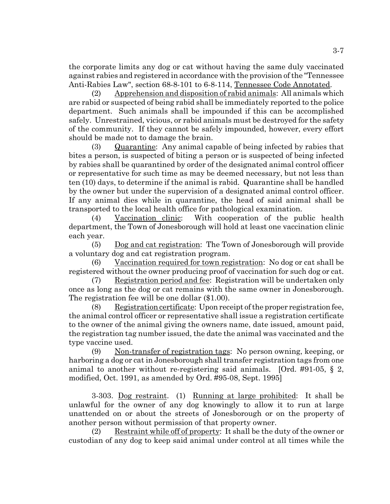the corporate limits any dog or cat without having the same duly vaccinated against rabies and registered in accordance with the provision of the "Tennessee Anti-Rabies Law", section 68-8-101 to 6-8-114, Tennessee Code Annotated.

(2) Apprehension and disposition of rabid animals: All animals which are rabid or suspected of being rabid shall be immediately reported to the police department. Such animals shall be impounded if this can be accomplished safely. Unrestrained, vicious, or rabid animals must be destroyed for the safety of the community. If they cannot be safely impounded, however, every effort should be made not to damage the brain.

(3) Quarantine: Any animal capable of being infected by rabies that bites a person, is suspected of biting a person or is suspected of being infected by rabies shall be quarantined by order of the designated animal control officer or representative for such time as may be deemed necessary, but not less than ten (10) days, to determine if the animal is rabid. Quarantine shall be handled by the owner but under the supervision of a designated animal control officer. If any animal dies while in quarantine, the head of said animal shall be transported to the local health office for pathological examination.

(4) Vaccination clinic: With cooperation of the public health department, the Town of Jonesborough will hold at least one vaccination clinic each year.

(5) Dog and cat registration: The Town of Jonesborough will provide a voluntary dog and cat registration program.

(6) Vaccination required for town registration: No dog or cat shall be registered without the owner producing proof of vaccination for such dog or cat.

(7) Registration period and fee: Registration will be undertaken only once as long as the dog or cat remains with the same owner in Jonesborough. The registration fee will be one dollar (\$1.00).

(8) Registration certificate: Upon receipt of the proper registration fee, the animal control officer or representative shall issue a registration certificate to the owner of the animal giving the owners name, date issued, amount paid, the registration tag number issued, the date the animal was vaccinated and the type vaccine used.

(9) Non-transfer of registration tags: No person owning, keeping, or harboring a dog or cat in Jonesborough shall transfer registration tags from one animal to another without re-registering said animals. [Ord. #91-05, § 2, modified, Oct. 1991, as amended by Ord. #95-08, Sept. 1995]

3-303. Dog restraint. (1) Running at large prohibited: It shall be unlawful for the owner of any dog knowingly to allow it to run at large unattended on or about the streets of Jonesborough or on the property of another person without permission of that property owner.

(2) Restraint while off of property: It shall be the duty of the owner or custodian of any dog to keep said animal under control at all times while the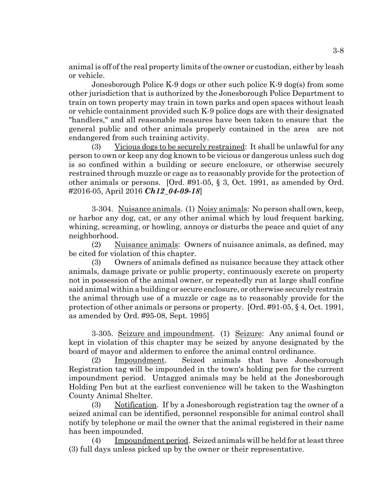animal is off of the real property limits of the owner or custodian, either by leash or vehicle.

Jonesborough Police K-9 dogs or other such police K-9 dog(s) from some other jurisdiction that is authorized by the Jonesborough Police Department to train on town property may train in town parks and open spaces without leash or vehicle containment provided such K-9 police dogs are with their designated "handlers," and all reasonable measures have been taken to ensure that the general public and other animals properly contained in the area are not endangered from such training activity.

(3) Vicious dogs to be securely restrained: It shall be unlawful for any person to own or keep any dog known to be vicious or dangerous unless such dog is so confined within a building or secure enclosure, or otherwise securely restrained through muzzle or cage as to reasonably provide for the protection of other animals or persons. [Ord. #91-05, § 3, Oct. 1991, as amended by Ord. #2016-05, April 2016 *Ch12\_04-09-18*]

3-304. Nuisance animals. (1) Noisy animals: No person shall own, keep, or harbor any dog, cat, or any other animal which by loud frequent barking, whining, screaming, or howling, annoys or disturbs the peace and quiet of any neighborhood.

(2) Nuisance animals: Owners of nuisance animals, as defined, may be cited for violation of this chapter.

(3) Owners of animals defined as nuisance because they attack other animals, damage private or public property, continuously excrete on property not in possession of the animal owner, or repeatedly run at large shall confine said animal within a building or secure enclosure, or otherwise securely restrain the animal through use of a muzzle or cage as to reasonably provide for the protection of other animals or persons or property. [Ord. #91-05, § 4, Oct. 1991, as amended by Ord. #95-08, Sept. 1995]

3-305. Seizure and impoundment. (1) Seizure: Any animal found or kept in violation of this chapter may be seized by anyone designated by the board of mayor and aldermen to enforce the animal control ordinance.

(2) Impoundment. Seized animals that have Jonesborough Registration tag will be impounded in the town's holding pen for the current impoundment period. Untagged animals may be held at the Jonesborough Holding Pen but at the earliest convenience will be taken to the Washington County Animal Shelter.

(3) Notification. If by a Jonesborough registration tag the owner of a seized animal can be identified, personnel responsible for animal control shall notify by telephone or mail the owner that the animal registered in their name has been impounded.

(4) Impoundment period. Seized animals will be held for at least three (3) full days unless picked up by the owner or their representative.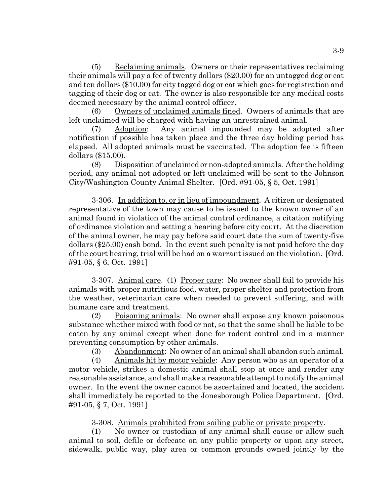(5) Reclaiming animals. Owners or their representatives reclaiming their animals will pay a fee of twenty dollars (\$20.00) for an untagged dog or cat and ten dollars (\$10.00) for city tagged dog or cat which goes for registration and tagging of their dog or cat. The owner is also responsible for any medical costs deemed necessary by the animal control officer.

(6) Owners of unclaimed animals fined. Owners of animals that are left unclaimed will be charged with having an unrestrained animal.

Adoption: Any animal impounded may be adopted after notification if possible has taken place and the three day holding period has elapsed. All adopted animals must be vaccinated. The adoption fee is fifteen dollars (\$15.00).

(8) Disposition of unclaimed or non-adopted animals. After the holding period, any animal not adopted or left unclaimed will be sent to the Johnson City/Washington County Animal Shelter. [Ord. #91-05, § 5, Oct. 1991]

3-306. In addition to, or in lieu of impoundment. A citizen or designated representative of the town may cause to be issued to the known owner of an animal found in violation of the animal control ordinance, a citation notifying of ordinance violation and setting a hearing before city court. At the discretion of the animal owner, he may pay before said court date the sum of twenty-five dollars (\$25.00) cash bond. In the event such penalty is not paid before the day of the court hearing, trial will be had on a warrant issued on the violation. [Ord. #91-05, § 6, Oct. 1991]

3-307. Animal care. (1) Proper care: No owner shall fail to provide his animals with proper nutritious food, water, proper shelter and protection from the weather, veterinarian care when needed to prevent suffering, and with humane care and treatment.

(2) Poisoning animals: No owner shall expose any known poisonous substance whether mixed with food or not, so that the same shall be liable to be eaten by any animal except when done for rodent control and in a manner preventing consumption by other animals.

(3) Abandonment: No owner of an animal shall abandon such animal.

(4) Animals hit by motor vehicle: Any person who as an operator of a motor vehicle, strikes a domestic animal shall stop at once and render any reasonable assistance, and shall make a reasonable attempt to notify the animal owner. In the event the owner cannot be ascertained and located, the accident shall immediately be reported to the Jonesborough Police Department. [Ord. #91-05, § 7, Oct. 1991]

3-308. Animals prohibited from soiling public or private property.

(1) No owner or custodian of any animal shall cause or allow such animal to soil, defile or defecate on any public property or upon any street, sidewalk, public way, play area or common grounds owned jointly by the